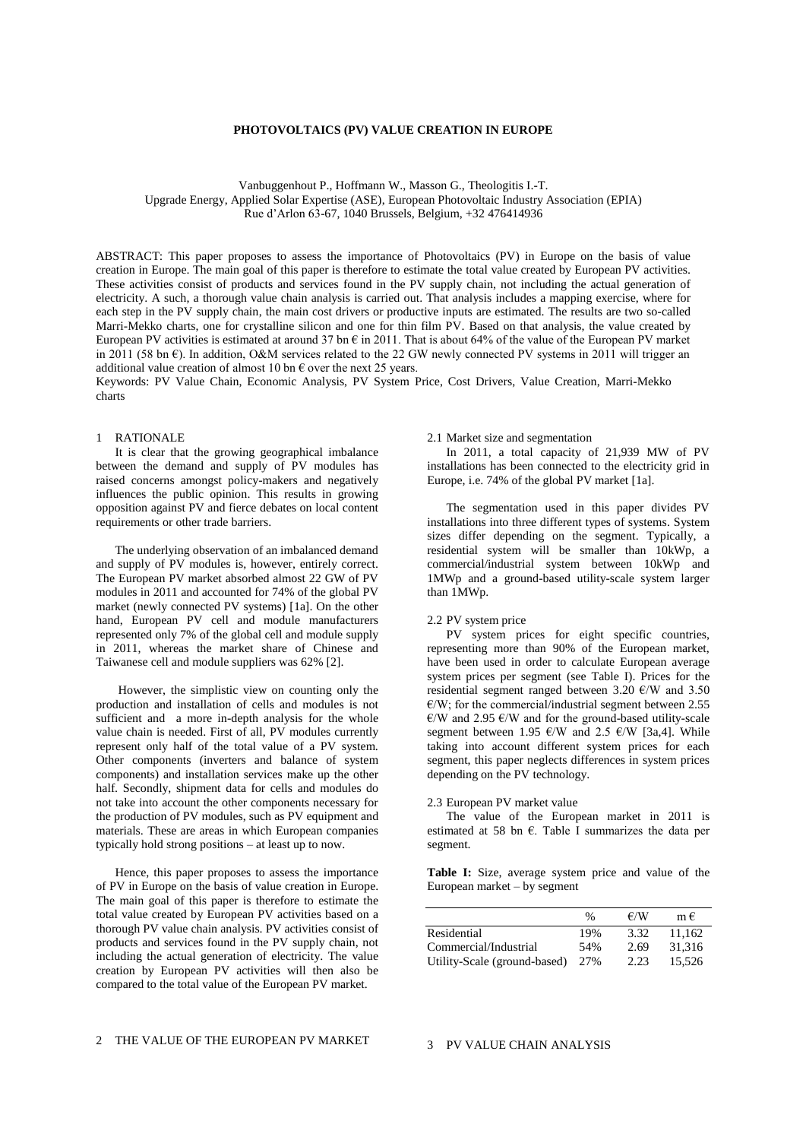# **PHOTOVOLTAICS (PV) VALUE CREATION IN EUROPE**

Vanbuggenhout P., Hoffmann W., Masson G., Theologitis I.-T. Upgrade Energy, Applied Solar Expertise (ASE), European Photovoltaic Industry Association (EPIA) Rue d'Arlon 63-67, 1040 Brussels, Belgium, +32 476414936

ABSTRACT: This paper proposes to assess the importance of Photovoltaics (PV) in Europe on the basis of value creation in Europe. The main goal of this paper is therefore to estimate the total value created by European PV activities. These activities consist of products and services found in the PV supply chain, not including the actual generation of electricity. A such, a thorough value chain analysis is carried out. That analysis includes a mapping exercise, where for each step in the PV supply chain, the main cost drivers or productive inputs are estimated. The results are two so-called Marri-Mekko charts, one for crystalline silicon and one for thin film PV. Based on that analysis, the value created by European PV activities is estimated at around 37 bn  $\epsilon$  in 2011. That is about 64% of the value of the European PV market in 2011 (58 bn  $\epsilon$ ). In addition, O&M services related to the 22 GW newly connected PV systems in 2011 will trigger an additional value creation of almost 10 bn  $\epsilon$  over the next 25 years.

Keywords: PV Value Chain, Economic Analysis, PV System Price, Cost Drivers, Value Creation, Marri-Mekko charts

# 1 RATIONALE

It is clear that the growing geographical imbalance between the demand and supply of PV modules has raised concerns amongst policy-makers and negatively influences the public opinion. This results in growing opposition against PV and fierce debates on local content requirements or other trade barriers.

The underlying observation of an imbalanced demand and supply of PV modules is, however, entirely correct. The European PV market absorbed almost 22 GW of PV modules in 2011 and accounted for 74% of the global PV market (newly connected PV systems) [1a]. On the other hand, European PV cell and module manufacturers represented only 7% of the global cell and module supply in 2011, whereas the market share of Chinese and Taiwanese cell and module suppliers was 62% [2].

However, the simplistic view on counting only the production and installation of cells and modules is not sufficient and a more in-depth analysis for the whole value chain is needed. First of all, PV modules currently represent only half of the total value of a PV system. Other components (inverters and balance of system components) and installation services make up the other half. Secondly, shipment data for cells and modules do not take into account the other components necessary for the production of PV modules, such as PV equipment and materials. These are areas in which European companies typically hold strong positions – at least up to now.

Hence, this paper proposes to assess the importance of PV in Europe on the basis of value creation in Europe. The main goal of this paper is therefore to estimate the total value created by European PV activities based on a thorough PV value chain analysis. PV activities consist of products and services found in the PV supply chain, not including the actual generation of electricity. The value creation by European PV activities will then also be compared to the total value of the European PV market.

## 2.1 Market size and segmentation

In 2011, a total capacity of 21,939 MW of PV installations has been connected to the electricity grid in Europe, i.e. 74% of the global PV market [1a].

The segmentation used in this paper divides PV installations into three different types of systems. System sizes differ depending on the segment. Typically, a residential system will be smaller than 10kWp, a commercial/industrial system between 10kWp and 1MWp and a ground-based utility-scale system larger than 1MWp.

# 2.2 PV system price

PV system prices for eight specific countries, representing more than 90% of the European market, have been used in order to calculate European average system prices per segment (see Table I). Prices for the residential segment ranged between 3.20  $\epsilon$ /W and 3.50  $E/W$ ; for the commercial/industrial segment between 2.55  $E/W$  and 2.95  $E/W$  and for the ground-based utility-scale segment between 1.95  $\varepsilon$ /W and 2.5  $\varepsilon$ /W [3a,4]. While taking into account different system prices for each segment, this paper neglects differences in system prices depending on the PV technology.

#### 2.3 European PV market value

The value of the European market in 2011 is estimated at 58 bn  $\epsilon$ . Table I summarizes the data per segment.

**Table I:** Size, average system price and value of the European market – by segment

|                              | $\%$ | €/W  | m€     |
|------------------------------|------|------|--------|
| Residential                  | 19%  | 3.32 | 11.162 |
| Commercial/Industrial        | 54%  | 2.69 | 31.316 |
| Utility-Scale (ground-based) | 27%  | 2.23 | 15.526 |

## 3 PV VALUE CHAIN ANALYSIS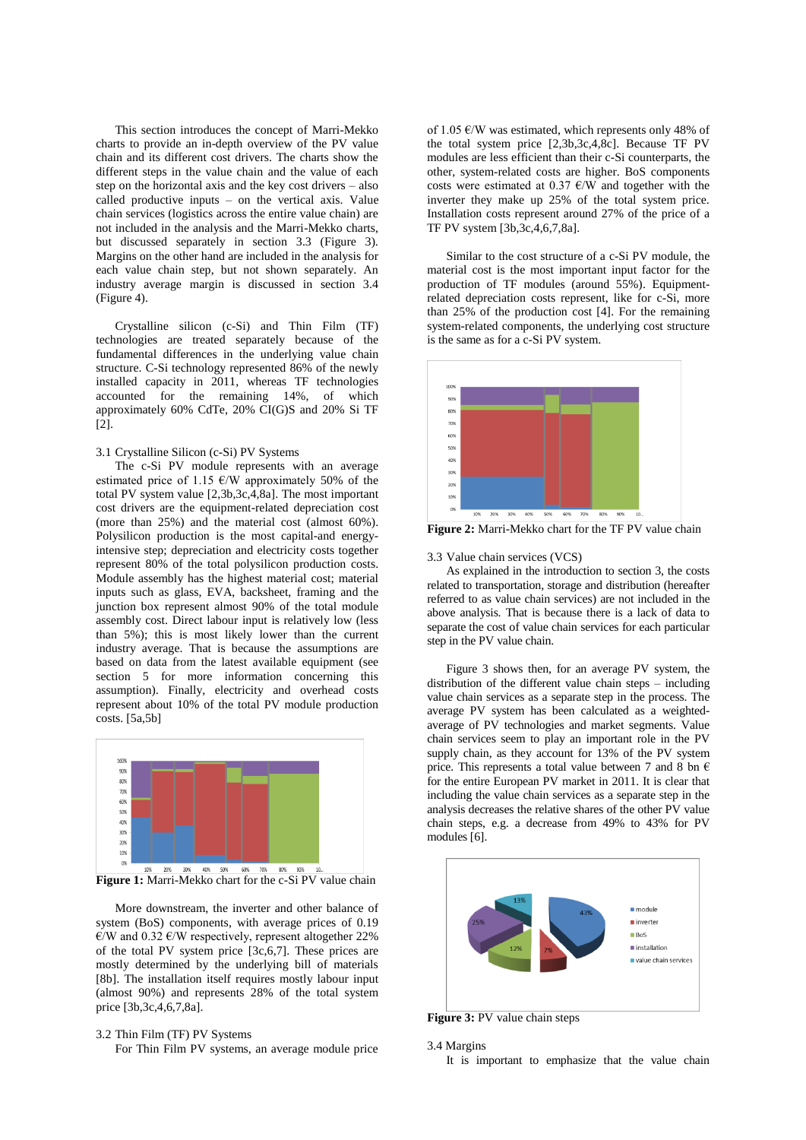This section introduces the concept of Marri-Mekko charts to provide an in-depth overview of the PV value chain and its different cost drivers. The charts show the different steps in the value chain and the value of each step on the horizontal axis and the key cost drivers – also called productive inputs – on the vertical axis. Value chain services (logistics across the entire value chain) are not included in the analysis and the Marri-Mekko charts, but discussed separately in section 3.3 (Figure 3). Margins on the other hand are included in the analysis for each value chain step, but not shown separately. An industry average margin is discussed in section 3.4 (Figure 4).

Crystalline silicon (c-Si) and Thin Film (TF) technologies are treated separately because of the fundamental differences in the underlying value chain structure. C-Si technology represented 86% of the newly installed capacity in 2011, whereas TF technologies accounted for the remaining 14%, of which approximately 60% CdTe, 20% CI(G)S and 20% Si TF [2].

# 3.1 Crystalline Silicon (c-Si) PV Systems

The c-Si PV module represents with an average estimated price of 1.15  $\varepsilon$ /W approximately 50% of the total PV system value [2,3b,3c,4,8a]. The most important cost drivers are the equipment-related depreciation cost (more than 25%) and the material cost (almost 60%). Polysilicon production is the most capital-and energyintensive step; depreciation and electricity costs together represent 80% of the total polysilicon production costs. Module assembly has the highest material cost; material inputs such as glass, EVA, backsheet, framing and the junction box represent almost 90% of the total module assembly cost. Direct labour input is relatively low (less than 5%); this is most likely lower than the current industry average. That is because the assumptions are based on data from the latest available equipment (see section 5 for more information concerning this assumption). Finally, electricity and overhead costs represent about 10% of the total PV module production costs. [5a,5b]



Figure 1: Marri-Mekko chart for the c-Si PV value chain

More downstream, the inverter and other balance of system (BoS) components, with average prices of 0.19  $€/W$  and 0.32  $€/W$  respectively, represent altogether 22% of the total PV system price [3c,6,7]. These prices are mostly determined by the underlying bill of materials [8b]. The installation itself requires mostly labour input (almost 90%) and represents 28% of the total system price [3b,3c,4,6,7,8a].

# 3.2 Thin Film (TF) PV Systems

For Thin Film PV systems, an average module price

of 1.05  $\varepsilon$ /W was estimated, which represents only 48% of the total system price [2,3b,3c,4,8c]. Because TF PV modules are less efficient than their c-Si counterparts, the other, system-related costs are higher. BoS components costs were estimated at 0.37  $E/W$  and together with the inverter they make up 25% of the total system price. Installation costs represent around 27% of the price of a TF PV system [3b,3c,4,6,7,8a].

Similar to the cost structure of a c-Si PV module, the material cost is the most important input factor for the production of TF modules (around 55%). Equipmentrelated depreciation costs represent, like for c-Si, more than 25% of the production cost [4]. For the remaining system-related components, the underlying cost structure is the same as for a c-Si PV system.



**Figure 2:** Marri-Mekko chart for the TF PV value chain

#### 3.3 Value chain services (VCS)

As explained in the introduction to section 3, the costs related to transportation, storage and distribution (hereafter referred to as value chain services) are not included in the above analysis. That is because there is a lack of data to separate the cost of value chain services for each particular step in the PV value chain.

Figure 3 shows then, for an average PV system, the distribution of the different value chain steps – including value chain services as a separate step in the process. The average PV system has been calculated as a weightedaverage of PV technologies and market segments. Value chain services seem to play an important role in the PV supply chain, as they account for 13% of the PV system price. This represents a total value between 7 and 8 bn  $\epsilon$ for the entire European PV market in 2011. It is clear that including the value chain services as a separate step in the analysis decreases the relative shares of the other PV value chain steps, e.g. a decrease from 49% to 43% for PV modules [6].



**Figure 3:** PV value chain steps

```
3.4 Margins
```
It is important to emphasize that the value chain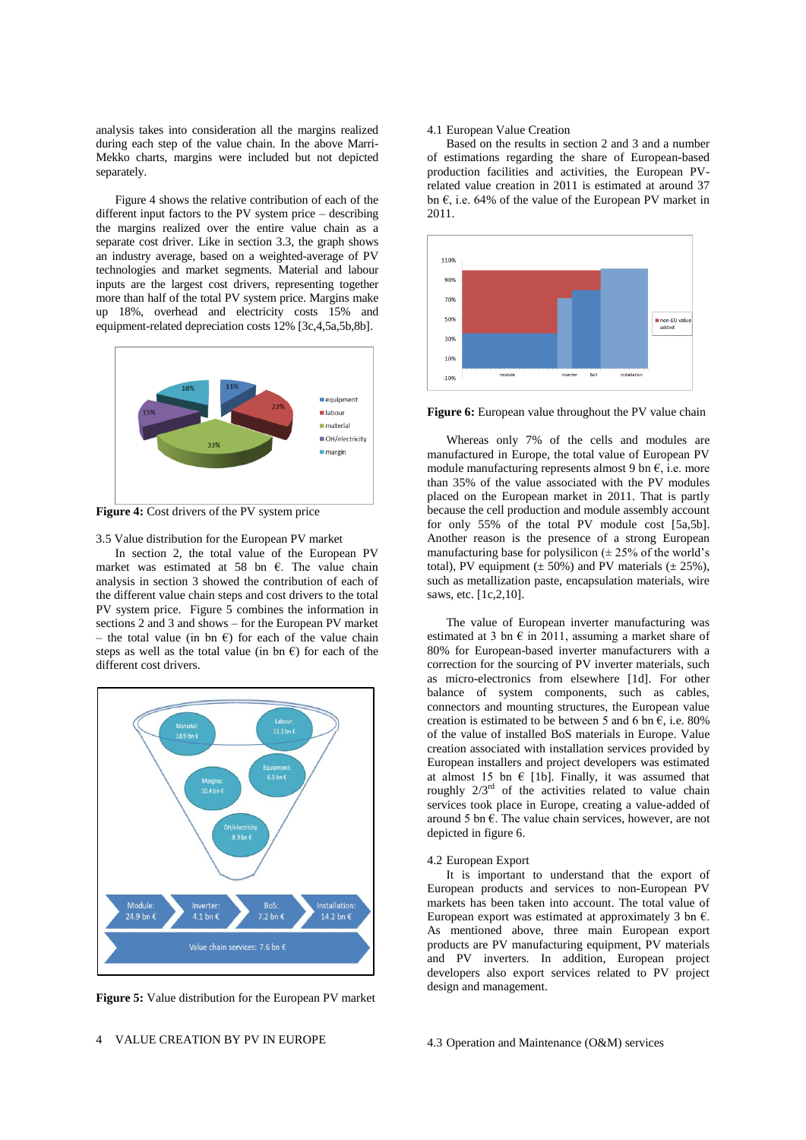analysis takes into consideration all the margins realized during each step of the value chain. In the above Marri-Mekko charts, margins were included but not depicted separately.

Figure 4 shows the relative contribution of each of the different input factors to the PV system price – describing the margins realized over the entire value chain as a separate cost driver. Like in section 3.3, the graph shows an industry average, based on a weighted-average of PV technologies and market segments. Material and labour inputs are the largest cost drivers, representing together more than half of the total PV system price. Margins make up 18%, overhead and electricity costs 15% and equipment-related depreciation costs 12% [3c,4,5a,5b,8b].



**Figure 4:** Cost drivers of the PV system price

3.5 Value distribution for the European PV market

In section 2, the total value of the European PV market was estimated at 58 bn €. The value chain analysis in section 3 showed the contribution of each of the different value chain steps and cost drivers to the total PV system price. Figure 5 combines the information in sections 2 and 3 and shows – for the European PV market – the total value (in bn  $\epsilon$ ) for each of the value chain steps as well as the total value (in bn  $\epsilon$ ) for each of the different cost drivers.



**Figure 5:** Value distribution for the European PV market

## 4.1 European Value Creation

Based on the results in section 2 and 3 and a number of estimations regarding the share of European-based production facilities and activities, the European PVrelated value creation in 2011 is estimated at around 37 bn  $\epsilon$ , i.e. 64% of the value of the European PV market in 2011.



**Figure 6:** European value throughout the PV value chain

Whereas only 7% of the cells and modules are manufactured in Europe, the total value of European PV module manufacturing represents almost 9 bn  $\epsilon$ , i.e. more than 35% of the value associated with the PV modules placed on the European market in 2011. That is partly because the cell production and module assembly account for only 55% of the total PV module cost [5a,5b]. Another reason is the presence of a strong European manufacturing base for polysilicon  $(\pm 25\%$  of the world's total), PV equipment  $(\pm 50\%)$  and PV materials  $(\pm 25\%)$ , such as metallization paste, encapsulation materials, wire saws, etc. [1c,2,10].

The value of European inverter manufacturing was estimated at 3 bn  $\epsilon$  in 2011, assuming a market share of 80% for European-based inverter manufacturers with a correction for the sourcing of PV inverter materials, such as micro-electronics from elsewhere [1d]. For other balance of system components, such as cables, connectors and mounting structures, the European value creation is estimated to be between 5 and 6 bn  $\epsilon$ , i.e. 80% of the value of installed BoS materials in Europe. Value creation associated with installation services provided by European installers and project developers was estimated at almost 15 bn  $\epsilon$  [1b]. Finally, it was assumed that roughly  $2/3<sup>rd</sup>$  of the activities related to value chain services took place in Europe, creating a value-added of around 5 bn  $\epsilon$ . The value chain services, however, are not depicted in figure 6.

#### 4.2 European Export

It is important to understand that the export of European products and services to non-European PV markets has been taken into account. The total value of European export was estimated at approximately 3 bn  $\epsilon$ . As mentioned above, three main European export products are PV manufacturing equipment, PV materials and PV inverters. In addition, European project developers also export services related to PV project design and management.

## 4.3 Operation and Maintenance (O&M) services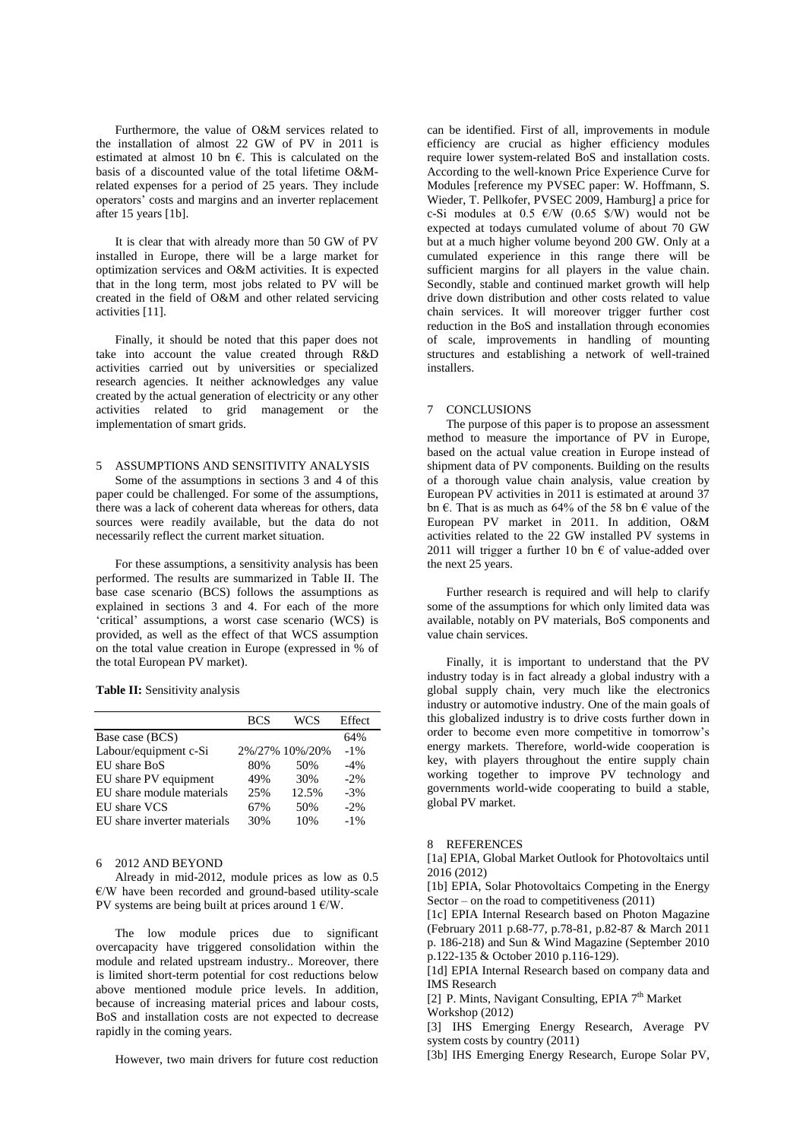Furthermore, the value of O&M services related to the installation of almost 22 GW of PV in 2011 is estimated at almost 10 bn  $\epsilon$ . This is calculated on the basis of a discounted value of the total lifetime O&Mrelated expenses for a period of 25 years. They include operators' costs and margins and an inverter replacement after 15 years [1b].

It is clear that with already more than 50 GW of PV installed in Europe, there will be a large market for optimization services and O&M activities. It is expected that in the long term, most jobs related to PV will be created in the field of O&M and other related servicing activities [11].

Finally, it should be noted that this paper does not take into account the value created through R&D activities carried out by universities or specialized research agencies. It neither acknowledges any value created by the actual generation of electricity or any other activities related to grid management or the implementation of smart grids.

# 5 ASSUMPTIONS AND SENSITIVITY ANALYSIS

Some of the assumptions in sections 3 and 4 of this paper could be challenged. For some of the assumptions, there was a lack of coherent data whereas for others, data sources were readily available, but the data do not necessarily reflect the current market situation.

For these assumptions, a sensitivity analysis has been performed. The results are summarized in Table II. The base case scenario (BCS) follows the assumptions as explained in sections 3 and 4. For each of the more 'critical' assumptions, a worst case scenario (WCS) is provided, as well as the effect of that WCS assumption on the total value creation in Europe (expressed in % of the total European PV market).

## **Table II:** Sensitivity analysis

|                             | <b>BCS</b> | WCS            | Effect  |  |
|-----------------------------|------------|----------------|---------|--|
| Base case (BCS)             |            |                | 64%     |  |
| Labour/equipment c-Si       |            | 2%/27% 10%/20% | $-1\%$  |  |
| EU share BoS                | 80%        | 50%            | $-4%$   |  |
| EU share PV equipment       | 49%        | 30%            | $-2.96$ |  |
| EU share module materials   | 25%        | 12.5%          | $-3%$   |  |
| EU share VCS                | 67%        | 50%            | $-2%$   |  |
| EU share inverter materials | 30%        | 10%            | $-1\%$  |  |
|                             |            |                |         |  |

# 6 2012 AND BEYOND

Already in mid-2012, module prices as low as 0.5 €/W have been recorded and ground-based utility-scale PV systems are being built at prices around  $1 \text{ }\mathcal{C}/\mathcal{W}$ .

The low module prices due to significant overcapacity have triggered consolidation within the module and related upstream industry.. Moreover, there is limited short-term potential for cost reductions below above mentioned module price levels. In addition, because of increasing material prices and labour costs, BoS and installation costs are not expected to decrease rapidly in the coming years.

However, two main drivers for future cost reduction

can be identified. First of all, improvements in module efficiency are crucial as higher efficiency modules require lower system-related BoS and installation costs. According to the well-known Price Experience Curve for Modules [reference my PVSEC paper: W. Hoffmann, S. Wieder, T. Pellkofer, PVSEC 2009, Hamburg] a price for c-Si modules at  $0.5 \text{ } \in W$  (0.65 \$/W) would not be expected at todays cumulated volume of about 70 GW but at a much higher volume beyond 200 GW. Only at a cumulated experience in this range there will be sufficient margins for all players in the value chain. Secondly, stable and continued market growth will help drive down distribution and other costs related to value chain services. It will moreover trigger further cost reduction in the BoS and installation through economies of scale, improvements in handling of mounting structures and establishing a network of well-trained installers.

## 7 CONCLUSIONS

The purpose of this paper is to propose an assessment method to measure the importance of PV in Europe, based on the actual value creation in Europe instead of shipment data of PV components. Building on the results of a thorough value chain analysis, value creation by European PV activities in 2011 is estimated at around 37 bn  $\epsilon$ . That is as much as 64% of the 58 bn  $\epsilon$  value of the European PV market in 2011. In addition, O&M activities related to the 22 GW installed PV systems in 2011 will trigger a further 10 bn  $\epsilon$  of value-added over the next 25 years.

Further research is required and will help to clarify some of the assumptions for which only limited data was available, notably on PV materials, BoS components and value chain services.

Finally, it is important to understand that the PV industry today is in fact already a global industry with a global supply chain, very much like the electronics industry or automotive industry. One of the main goals of this globalized industry is to drive costs further down in order to become even more competitive in tomorrow's energy markets. Therefore, world-wide cooperation is key, with players throughout the entire supply chain working together to improve PV technology and governments world-wide cooperating to build a stable, global PV market.

## 8 REFERENCES

[1a] EPIA, Global Market Outlook for Photovoltaics until 2016 (2012)

[1b] EPIA, Solar Photovoltaics Competing in the Energy Sector – on the road to competitiveness  $(2011)$ 

[1c] EPIA Internal Research based on Photon Magazine (February 2011 p.68-77, p.78-81, p.82-87 & March 2011 p. 186-218) and Sun & Wind Magazine (September 2010 p.122-135 & October 2010 p.116-129).

[1d] EPIA Internal Research based on company data and IMS Research

[2] P. Mints, Navigant Consulting, EPIA 7<sup>th</sup> Market Workshop (2012)

[3] IHS Emerging Energy Research, Average PV system costs by country (2011)

[3b] IHS Emerging Energy Research, Europe Solar PV,